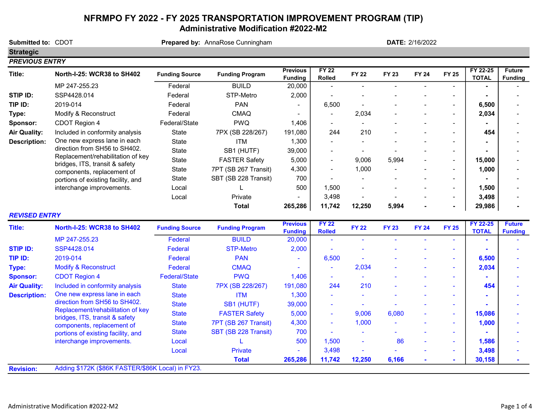## NFRMPO FY 2022 - FY 2025 TRANSPORTATION IMPROVEMENT PROGRAM (TIP) Administrative Modification #2022-M2

Submitted to: CDOT **Prepared by: AnnaRose Cunningham Strategic** PREVIOUS ENTRY Title: North-I-25: WCR38 to SH402 Funding Source Funding Program Previous Funding FY 22  $PY$  22 FY 22 FY 23 FY 24 FY 25 FY 22-25<br>Rolled FY 22 FY 23 FY 24 FY 25 TOTAL TOTAL **Future** Funding MP 247-255.23 Federal BUILD 20,000 | **STIP ID:** SSP4428.014 Federal STP-Metro 2,000 | - - - - - - -TIP ID: 2019-014 Federal PAN 6,500 - - - - - 6,500 - Type: Modify & Reconstruct  $\begin{array}{ccc} \text{Federal} & \text{CMAQ} & - & 2,034 & - & - & - & 2,034 \end{array}$  ${\sf Sponsor:}\qquad {\sf CDOT}\ {\sf Region}\ 4 \qquad \qquad {\sf Federal/State} \qquad \qquad {\sf PWQ} \qquad \qquad 1,406 \qquad \qquad {\sf I.306} \qquad \qquad {\sf I.407} \qquad {\sf I.517} \qquad {\sf I.518} \qquad {\sf I.619} \qquad {\sf I.619} \qquad {\sf I.619} \qquad {\sf I.619} \qquad {\sf I.619} \qquad {\sf I.619} \qquad {\sf I.619} \qquad {\sf I.619} \qquad {\sf I.619} \qquad {\sf I.619} \qquad$ Air Quality: Included in conformity analysis State 7PX (SB 228/267) 191,080 244 210 - - - - | 454 Description: One new express lane in each  $\qquad$  State  $\qquad$  ITM  $\qquad$   $\qquad$  1,300  $\qquad$  -  $\qquad$  -  $\qquad$  -  $\qquad$  -  $\qquad$  -  $\qquad$  -  $\qquad$  -  $\qquad$  -  $\qquad$ State SB1 (HUTF) - 39,000 - - - - - - State FASTER Safety - 5,000 9,006 5,994 - - 15,000 - State 7PT (SB 267 Transit) 4,300 | - 1,000 - - - - | 1,000 State SBT (SB 228 Transit) 700 | - - - - - - - - - | -Local L 1,500 500 - - - - 1,500 - Local Private 3,498 - - - - - 3,498 - Total 265,286 11,742 12,250 5,994 - - 29,986 - Title: North-I-25: WCR38 to SH402 Funding Source Funding Program Previous **Funding** FY 22  $Rolled$  FY 22 FY 23 FY 24 FY 25 FY 22-25<br>Rolled FY 22 FY 23 FY 24 FY 25 TOTAL **TOTAL** Future **Funding** MP 247-255.23 Federal BUILD - 20,000 - - - - - - STIP ID: SSP4428.014 Federal STP-Metro - 2,000 - - - - - - TIP ID: 2019-014 Federal PAN - <mark> 6,500 - - - 6,500</mark> -Type: Modify & Reconstruct **Federal CMAQ - - 2,034 - - - 2,034** -Sponsor: CDOT Region 4 Federal/State PWQ 1,406 - - - - - - -Air Quality: Included in conformity analysis State 7PX (SB 228/267) 191,080 244 210 - - - - | 454 Description: One new express lane in each and State it ITM and 1,300 and a series of the series of the series of the series of the series of the series of the series of the series of the series of the series of the series State SB1 (HUTF) 39,000 - - - - - - - - | - | -State FASTER Safety 5,000 - 9,006 6,080 - - | 15,086 -State 7PT (SB 267 Transit) 4,300 | - 1,000 - - - - | 1,000 State SBT (SB 228 Transit) 700 | -Local L 1,500 500 - 86 - - 1,586 - Local Private 3,498 - - - - - 3,498 - Total 265,286 11,742 12,250 6,166 - - 30,158 - Revision: **DATE: 2/16/2022** direction from SH56 to SH402. Replacement/rehabilitation of key bridges, ITS, transit & safety components, replacement of portions of existing facility, and interchange improvements. direction from SH56 to SH402. Replacement/rehabilitation of key bridges, ITS, transit & safety components, replacement of portions of existing facility, and interchange improvements. REVISED ENTRY Adding \$172K (\$86K FASTER/\$86K Local) in FY23.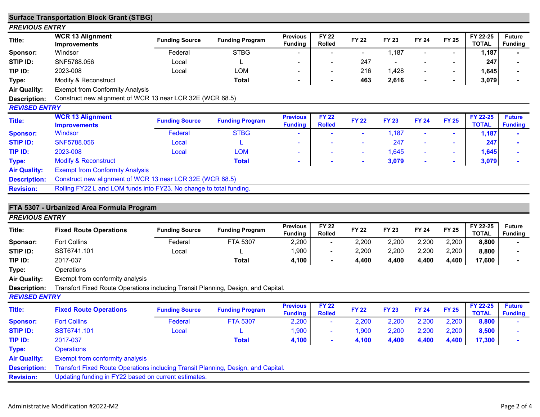|                       | <b>Surface Transportation Block Grant (STBG)</b>                    |                       |                        |                                   |                               |              |              |                              |                |                          |                                 |
|-----------------------|---------------------------------------------------------------------|-----------------------|------------------------|-----------------------------------|-------------------------------|--------------|--------------|------------------------------|----------------|--------------------------|---------------------------------|
| <b>PREVIOUS ENTRY</b> |                                                                     |                       |                        |                                   |                               |              |              |                              |                |                          |                                 |
| Title:                | <b>WCR 13 Alignment</b><br><b>Improvements</b>                      | <b>Funding Source</b> | <b>Funding Program</b> | <b>Previous</b><br><b>Funding</b> | <b>FY 22</b><br><b>Rolled</b> | <b>FY 22</b> | <b>FY 23</b> | <b>FY 24</b>                 | <b>FY 25</b>   | FY 22-25<br><b>TOTAL</b> | <b>Future</b><br><b>Funding</b> |
| Sponsor:              | Windsor                                                             | Federal               | <b>STBG</b>            |                                   |                               |              | 1,187        |                              |                | 1,187                    |                                 |
| STIP ID:              | SNF5788.056                                                         | Local                 |                        |                                   |                               | 247          |              |                              |                | 247                      |                                 |
| TIP ID:               | 2023-008                                                            | Local                 | LOM                    | $\overline{\phantom{a}}$          | $\sim$                        | 216          | 1,428        | $\qquad \qquad \blacksquare$ | $\blacksquare$ | 1,645                    |                                 |
| Type:                 | Modify & Reconstruct                                                |                       | Total                  | $\sim$                            | $\sim$                        | 463          | 2,616        | $\overline{\phantom{0}}$     | ۰.             | 3,079                    |                                 |
| <b>Air Quality:</b>   | <b>Exempt from Conformity Analysis</b>                              |                       |                        |                                   |                               |              |              |                              |                |                          |                                 |
| <b>Description:</b>   | Construct new alignment of WCR 13 near LCR 32E (WCR 68.5)           |                       |                        |                                   |                               |              |              |                              |                |                          |                                 |
| <b>REVISED ENTRY</b>  |                                                                     |                       |                        |                                   |                               |              |              |                              |                |                          |                                 |
| Title:                | <b>WCR 13 Alignment</b><br><b>Improvements</b>                      | <b>Funding Source</b> | <b>Funding Program</b> | <b>Previous</b><br><b>Funding</b> | <b>FY 22</b><br><b>Rolled</b> | <b>FY 22</b> | <b>FY 23</b> | <b>FY 24</b>                 | <b>FY 25</b>   | FY 22-25<br><b>TOTAL</b> | <b>Future</b><br><b>Funding</b> |
| <b>Sponsor:</b>       | Windsor                                                             | Federal               | <b>STBG</b>            |                                   |                               |              | 1,187        |                              |                | 1,187                    |                                 |
| <b>STIP ID:</b>       | SNF5788.056                                                         | Local                 |                        | $\blacksquare$                    | $\sim$                        |              | 247          | $\blacksquare$               |                | 247                      |                                 |
| TIP ID:               | 2023-008                                                            | Local                 | <b>LOM</b>             | $\sim$                            | $\sim$                        | $\sim$       | 1,645        | $\blacksquare$               | $\sim$         | 1,645                    |                                 |
| Type:                 | <b>Modify &amp; Reconstruct</b>                                     |                       | <b>Total</b>           | $\sim$                            | $\sim$                        | $\sim$       | 3,079        | ٠                            |                | 3,079                    |                                 |
| <b>Air Quality:</b>   | <b>Exempt from Conformity Analysis</b>                              |                       |                        |                                   |                               |              |              |                              |                |                          |                                 |
| <b>Description:</b>   | Construct new alignment of WCR 13 near LCR 32E (WCR 68.5)           |                       |                        |                                   |                               |              |              |                              |                |                          |                                 |
| <b>Revision:</b>      | Rolling FY22 L and LOM funds into FY23. No change to total funding. |                       |                        |                                   |                               |              |              |                              |                |                          |                                 |

## FTA 5307 - Urbanized Area Formula Program

| <b>PREVIOUS ENTRY</b> |                                                                                   |                       |                        |                                   |                               |              |              |              |              |                          |                                 |
|-----------------------|-----------------------------------------------------------------------------------|-----------------------|------------------------|-----------------------------------|-------------------------------|--------------|--------------|--------------|--------------|--------------------------|---------------------------------|
| Title:                | <b>Fixed Route Operations</b>                                                     | <b>Funding Source</b> | <b>Funding Program</b> | <b>Previous</b><br><b>Funding</b> | <b>FY 22</b><br><b>Rolled</b> | <b>FY 22</b> | <b>FY 23</b> | <b>FY 24</b> | <b>FY 25</b> | FY 22-25<br><b>TOTAL</b> | <b>Future</b><br><b>Funding</b> |
| Sponsor:              | <b>Fort Collins</b>                                                               | Federal               | FTA 5307               | 2,200                             | $\sim$                        | 2,200        | 2,200        | 2,200        | 2,200        | 8,800                    |                                 |
| STIP ID:              | SST6741.101                                                                       | Local                 |                        | 1,900                             | $\sim$                        | 2,200        | 2,200        | 2,200        | 2,200        | 8,800                    |                                 |
| TIP ID:               | 2017-037                                                                          |                       | Total                  | 4,100                             | $\blacksquare$                | 4,400        | 4,400        | 4,400        | 4,400        | 17,600                   |                                 |
| Type:                 | Operations                                                                        |                       |                        |                                   |                               |              |              |              |              |                          |                                 |
| <b>Air Quality:</b>   | Exempt from conformity analysis                                                   |                       |                        |                                   |                               |              |              |              |              |                          |                                 |
| Description:          | Transfort Fixed Route Operations including Transit Planning, Design, and Capital. |                       |                        |                                   |                               |              |              |              |              |                          |                                 |
| <b>REVISED ENTRY</b>  |                                                                                   |                       |                        |                                   |                               |              |              |              |              |                          |                                 |
| Title:                | <b>Fixed Route Operations</b>                                                     | <b>Funding Source</b> | <b>Funding Program</b> | <b>Previous</b><br><b>Funding</b> | <b>FY 22</b><br><b>Rolled</b> | <b>FY 22</b> | <b>FY 23</b> | <b>FY 24</b> | <b>FY 25</b> | FY 22-25<br><b>TOTAL</b> | <b>Future</b><br><b>Funding</b> |
|                       |                                                                                   |                       |                        |                                   |                               |              |              |              |              |                          |                                 |
| <b>Sponsor:</b>       | <b>Fort Collins</b>                                                               | Federal               | <b>FTA 5307</b>        | 2,200                             | $\sim$                        | 2,200        | 2,200        | 2,200        | 2,200        | 8,800                    |                                 |
| <b>STIP ID:</b>       | SST6741.101                                                                       | Local                 |                        | 1,900                             | $\sim$                        | 1,900        | 2,200        | 2,200        | 2,200        | 8,500                    |                                 |
| TIP ID:               | 2017-037                                                                          |                       | <b>Total</b>           | 4,100                             | $\sim$                        | 4,100        | 4,400        | 4,400        | 4,400        | 17,300                   |                                 |
| Type:                 | <b>Operations</b>                                                                 |                       |                        |                                   |                               |              |              |              |              |                          |                                 |
| <b>Air Quality:</b>   | Exempt from conformity analysis                                                   |                       |                        |                                   |                               |              |              |              |              |                          |                                 |
| <b>Description:</b>   | Transfort Fixed Route Operations including Transit Planning, Design, and Capital. |                       |                        |                                   |                               |              |              |              |              |                          |                                 |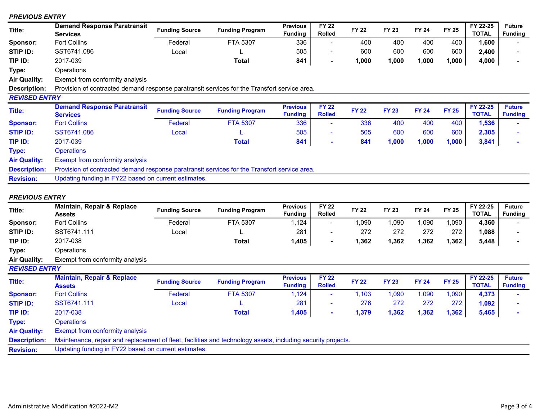## PREVIOUS ENTRY

| Title:              | <b>Demand Response Paratransit</b><br>Services                                               | <b>Funding Source</b> | <b>Funding Program</b> | <b>Previous</b><br><b>Funding</b> | <b>FY 22</b><br><b>Rolled</b> | <b>FY 22</b> | <b>FY 23</b> | <b>FY 24</b> | <b>FY 25</b> | FY 22-25<br><b>TOTAL</b> | <b>Future</b><br><b>Funding</b> |
|---------------------|----------------------------------------------------------------------------------------------|-----------------------|------------------------|-----------------------------------|-------------------------------|--------------|--------------|--------------|--------------|--------------------------|---------------------------------|
| Sponsor:            | <b>Fort Collins</b>                                                                          | Federal               | FTA 5307               | 336                               | $\blacksquare$                | 400          | 400          | 400          | 400          | 1,600                    |                                 |
| STIP ID:            | SST6741.086                                                                                  | Local                 |                        | 505                               | -                             | 600          | 600          | 600          | 600          | 2,400                    |                                 |
| TIP ID:             | 2017-039                                                                                     |                       | <b>Total</b>           | 841                               | ۰                             | 1,000        | 1,000        | 1,000        | 1,000        | 4,000                    |                                 |
| Type:               | Operations                                                                                   |                       |                        |                                   |                               |              |              |              |              |                          |                                 |
| Air Quality:        | Exempt from conformity analysis                                                              |                       |                        |                                   |                               |              |              |              |              |                          |                                 |
| <b>Description:</b> | Provision of contracted demand response paratransit services for the Transfort service area. |                       |                        |                                   |                               |              |              |              |              |                          |                                 |
| REVISED ENTRY       |                                                                                              |                       |                        |                                   |                               |              |              |              |              |                          |                                 |
| Title:              | <b>Demand Response Paratransit</b><br><b>Services</b>                                        | <b>Funding Source</b> | <b>Funding Program</b> | <b>Previous</b><br><b>Funding</b> | <b>FY 22</b><br><b>Rolled</b> | <b>FY 22</b> | <b>FY 23</b> | <b>FY 24</b> | <b>FY 25</b> | FY 22-25<br><b>TOTAL</b> | <b>Future</b><br><b>Funding</b> |
| <b>Sponsor:</b>     | <b>Fort Collins</b>                                                                          | Federal               | <b>FTA 5307</b>        | 336                               | ۰                             | 336          | 400          | 400          | 400          | 1,536                    |                                 |
| STIP ID:            | SST6741,086                                                                                  | Local                 |                        | 505                               | ۰                             | 505          | 600          | 600          | 600          | 2,305                    |                                 |
| TIP ID:             | 2017-039                                                                                     |                       | <b>Total</b>           | 841                               | $\sim$                        | 841          | 1,000        | 1,000        | 1,000        | 3,841                    |                                 |
| Type:               | <b>Operations</b>                                                                            |                       |                        |                                   |                               |              |              |              |              |                          |                                 |
| <b>Air Quality:</b> | <b>Exempt from conformity analysis</b>                                                       |                       |                        |                                   |                               |              |              |              |              |                          |                                 |
| <b>Description:</b> | Provision of contracted demand response paratransit services for the Transfort service area. |                       |                        |                                   |                               |              |              |              |              |                          |                                 |
| <b>Revision:</b>    | Updating funding in FY22 based on current estimates.                                         |                       |                        |                                   |                               |              |              |              |              |                          |                                 |

## PREVIOUS ENTRY

| Title:               | Maintain, Repair & Replace<br><b>Assets</b>                                                                  | <b>Funding Source</b> | <b>Funding Program</b> | <b>Previous</b><br><b>Funding</b> | <b>FY 22</b><br><b>Rolled</b> | <b>FY 22</b> | <b>FY 23</b> | <b>FY 24</b> | <b>FY 25</b> | FY 22-25<br><b>TOTAL</b> | <b>Future</b><br><b>Funding</b> |
|----------------------|--------------------------------------------------------------------------------------------------------------|-----------------------|------------------------|-----------------------------------|-------------------------------|--------------|--------------|--------------|--------------|--------------------------|---------------------------------|
| Sponsor:             | <b>Fort Collins</b>                                                                                          | Federal               | FTA 5307               | 1,124                             | $\sim$                        | 1,090        | 1,090        | 1,090        | 1,090        | 4,360                    |                                 |
| STIP ID:             | SST6741.111                                                                                                  | Local                 |                        | 281                               | $\sim$                        | 272          | 272          | 272          | 272          | 1,088                    |                                 |
| TIP ID:              | 2017-038                                                                                                     |                       | <b>Total</b>           | 1,405                             | $\sim$                        | 1,362        | 1,362        | 1,362        | 1,362        | 5,448                    |                                 |
| Type:                | Operations                                                                                                   |                       |                        |                                   |                               |              |              |              |              |                          |                                 |
| <b>Air Quality:</b>  | Exempt from conformity analysis                                                                              |                       |                        |                                   |                               |              |              |              |              |                          |                                 |
| <b>REVISED ENTRY</b> |                                                                                                              |                       |                        |                                   |                               |              |              |              |              |                          |                                 |
| Title:               | <b>Maintain, Repair &amp; Replace</b><br><b>Assets</b>                                                       | <b>Funding Source</b> | <b>Funding Program</b> | <b>Previous</b><br><b>Funding</b> | <b>FY 22</b><br><b>Rolled</b> | <b>FY 22</b> | <b>FY 23</b> | <b>FY 24</b> | <b>FY 25</b> | FY 22-25<br><b>TOTAL</b> | <b>Future</b><br><b>Funding</b> |
| <b>Sponsor:</b>      | <b>Fort Collins</b>                                                                                          | Federal               | <b>FTA 5307</b>        | 1,124                             | $\sim$                        | 1,103        | 1,090        | 1,090        | 1,090        | 4,373                    |                                 |
| <b>STIP ID:</b>      | SST6741.111                                                                                                  | Local                 |                        | 281                               | $\sim$                        | 276          | 272          | 272          | 272          | 1,092                    |                                 |
| TIP ID:              | 2017-038                                                                                                     |                       | <b>Total</b>           | 1,405                             | $\sim$                        | 1,379        | 1,362        | 1,362        | 1,362        | 5,465                    |                                 |
| Type:                | <b>Operations</b>                                                                                            |                       |                        |                                   |                               |              |              |              |              |                          |                                 |
| <b>Air Quality:</b>  | Exempt from conformity analysis                                                                              |                       |                        |                                   |                               |              |              |              |              |                          |                                 |
| <b>Description:</b>  | Maintenance, repair and replacement of fleet, facilities and technology assets, including security projects. |                       |                        |                                   |                               |              |              |              |              |                          |                                 |
| <b>Revision:</b>     | Updating funding in FY22 based on current estimates.                                                         |                       |                        |                                   |                               |              |              |              |              |                          |                                 |